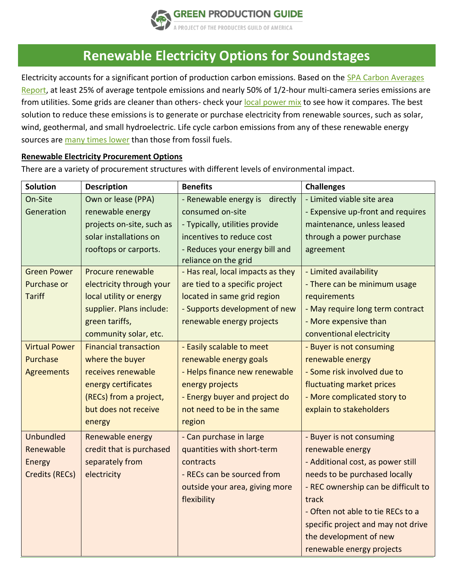

## **Renewable Electricity Options for Soundstages**

Electricity accounts for a significant portion of production carbon emissions. Based on the [SPA Carbon Averages](https://www.greenproductionguide.com/wp-content/uploads/2021/04/SPA-Carbon-Emissions-Report.pdf)  [Report,](https://www.greenproductionguide.com/wp-content/uploads/2021/04/SPA-Carbon-Emissions-Report.pdf) at least 25% of average tentpole emissions and nearly 50% of 1/2-hour multi-camera series emissions are from utilities. Some grids are cleaner than others- check your [local power mix](https://www.epa.gov/egrid/data-explorer) to see how it compares. The best solution to reduce these emissions is to generate or purchase electricity from renewable sources, such as solar, wind, geothermal, and small hydroelectric. Life cycle carbon emissions from any of these renewable energy sources are [many times lower](https://www.nrel.gov/docs/fy13osti/57187.pdf) than those from fossil fuels.

## **Renewable Electricity Procurement Options**

| <b>Solution</b>       | <b>Description</b>           | <b>Benefits</b>                                        | <b>Challenges</b>                   |
|-----------------------|------------------------------|--------------------------------------------------------|-------------------------------------|
| On-Site               | Own or lease (PPA)           | - Renewable energy is<br>directly                      | - Limited viable site area          |
| Generation            | renewable energy             | consumed on-site                                       | - Expensive up-front and requires   |
|                       | projects on-site, such as    | - Typically, utilities provide                         | maintenance, unless leased          |
|                       | solar installations on       | incentives to reduce cost                              | through a power purchase            |
|                       | rooftops or carports.        | - Reduces your energy bill and<br>reliance on the grid | agreement                           |
| <b>Green Power</b>    | Procure renewable            | - Has real, local impacts as they                      | - Limited availability              |
| Purchase or           | electricity through your     | are tied to a specific project                         | - There can be minimum usage        |
| <b>Tariff</b>         | local utility or energy      | located in same grid region                            | requirements                        |
|                       | supplier. Plans include:     | - Supports development of new                          | - May require long term contract    |
|                       | green tariffs,               | renewable energy projects                              | - More expensive than               |
|                       | community solar, etc.        |                                                        | conventional electricity            |
| <b>Virtual Power</b>  | <b>Financial transaction</b> | - Easily scalable to meet                              | - Buyer is not consuming            |
| Purchase              | where the buyer              | renewable energy goals                                 | renewable energy                    |
| <b>Agreements</b>     | receives renewable           | - Helps finance new renewable                          | - Some risk involved due to         |
|                       | energy certificates          | energy projects                                        | fluctuating market prices           |
|                       | (RECs) from a project,       | - Energy buyer and project do                          | - More complicated story to         |
|                       | but does not receive         | not need to be in the same                             | explain to stakeholders             |
|                       | energy                       | region                                                 |                                     |
| Unbundled             | Renewable energy             | - Can purchase in large                                | - Buyer is not consuming            |
| Renewable             | credit that is purchased     | quantities with short-term                             | renewable energy                    |
| Energy                | separately from              | contracts                                              | - Additional cost, as power still   |
| <b>Credits (RECs)</b> | electricity                  | - RECs can be sourced from                             | needs to be purchased locally       |
|                       |                              | outside your area, giving more                         | - REC ownership can be difficult to |
|                       |                              | flexibility                                            | track                               |
|                       |                              |                                                        | - Often not able to tie RECs to a   |
|                       |                              |                                                        | specific project and may not drive  |
|                       |                              |                                                        | the development of new              |
|                       |                              |                                                        | renewable energy projects           |

There are a variety of procurement structures with different levels of environmental impact.